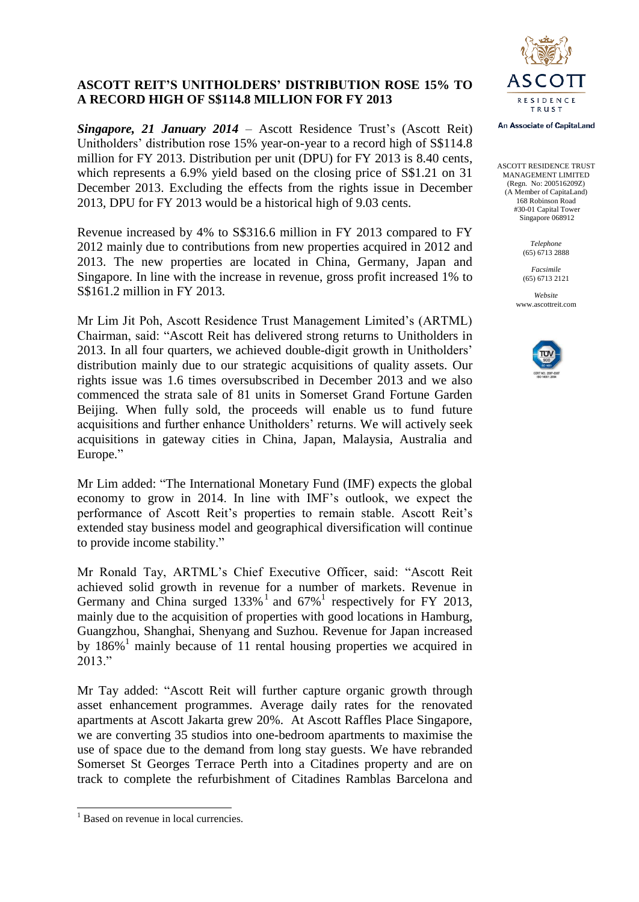# **ASCOTT REIT'S UNITHOLDERS' DISTRIBUTION ROSE 15% TO A RECORD HIGH OF S\$114.8 MILLION FOR FY 2013**

*Singapore, 21 January 2014* – Ascott Residence Trust's (Ascott Reit) Unitholders' distribution rose 15% year-on-year to a record high of S\$114.8 million for FY 2013. Distribution per unit (DPU) for FY 2013 is 8.40 cents, which represents a 6.9% yield based on the closing price of S\$1.21 on 31 December 2013. Excluding the effects from the rights issue in December 2013, DPU for FY 2013 would be a historical high of 9.03 cents.

Revenue increased by 4% to S\$316.6 million in FY 2013 compared to FY 2012 mainly due to contributions from new properties acquired in 2012 and 2013. The new properties are located in China, Germany, Japan and Singapore. In line with the increase in revenue, gross profit increased 1% to S\$161.2 million in FY 2013.

Mr Lim Jit Poh, Ascott Residence Trust Management Limited's (ARTML) Chairman, said: "Ascott Reit has delivered strong returns to Unitholders in 2013. In all four quarters, we achieved double-digit growth in Unitholders' distribution mainly due to our strategic acquisitions of quality assets. Our rights issue was 1.6 times oversubscribed in December 2013 and we also commenced the strata sale of 81 units in Somerset Grand Fortune Garden Beijing. When fully sold, the proceeds will enable us to fund future acquisitions and further enhance Unitholders' returns. We will actively seek acquisitions in gateway cities in China, Japan, Malaysia, Australia and Europe."

Mr Lim added: "The International Monetary Fund (IMF) expects the global economy to grow in 2014. In line with IMF's outlook, we expect the performance of Ascott Reit's properties to remain stable. Ascott Reit's extended stay business model and geographical diversification will continue to provide income stability."

Mr Ronald Tay, ARTML's Chief Executive Officer, said: "Ascott Reit achieved solid growth in revenue for a number of markets. Revenue in Germany and China surged  $133\%$ <sup>1</sup> and  $67\%$ <sup>1</sup> respectively for FY 2013, mainly due to the acquisition of properties with good locations in Hamburg, Guangzhou, Shanghai, Shenyang and Suzhou. Revenue for Japan increased by 186% <sup>1</sup> mainly because of 11 rental housing properties we acquired in 2013."

Mr Tay added: "Ascott Reit will further capture organic growth through asset enhancement programmes. Average daily rates for the renovated apartments at Ascott Jakarta grew 20%. At Ascott Raffles Place Singapore, we are converting 35 studios into one-bedroom apartments to maximise the use of space due to the demand from long stay guests. We have rebranded Somerset St Georges Terrace Perth into a Citadines property and are on track to complete the refurbishment of Citadines Ramblas Barcelona and

-



An Associate of CapitaLand

ASCOTT RESIDENCE TRUST MANAGEMENT LIMITED (Regn. No: 200516209Z) (A Member of CapitaLand) 168 Robinson Road #30-01 Capital Tower Singapore 068912

> *Telephone* (65) 6713 2888

*Facsimile* (65) 6713 2121

*Website* www.ascottreit.com



<sup>&</sup>lt;sup>1</sup> Based on revenue in local currencies.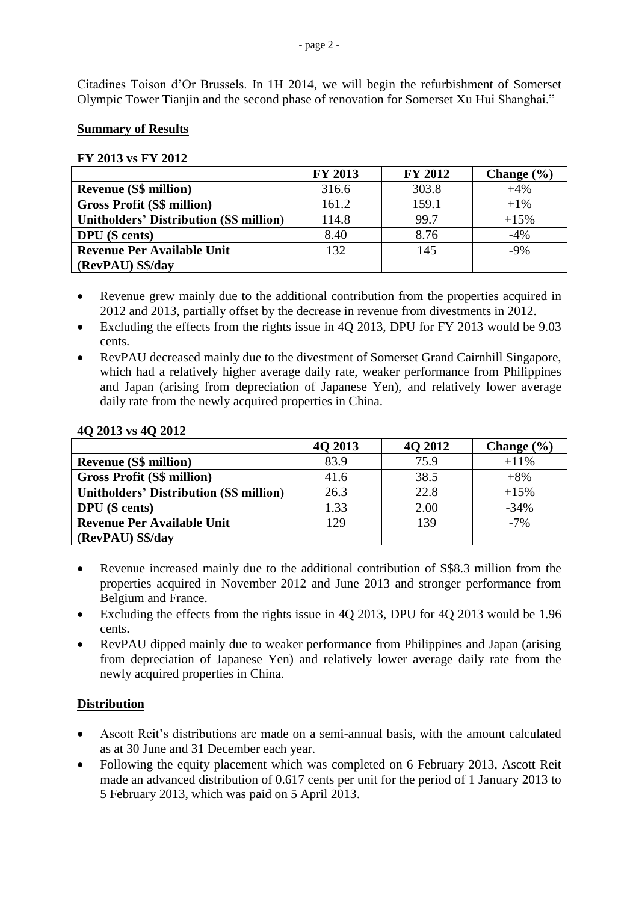Citadines Toison d'Or Brussels. In 1H 2014, we will begin the refurbishment of Somerset Olympic Tower Tianjin and the second phase of renovation for Somerset Xu Hui Shanghai."

### **Summary of Results**

### **FY 2013 vs FY 2012**

|                                                | <b>FY 2013</b> | <b>FY 2012</b> | Change $(\% )$ |
|------------------------------------------------|----------------|----------------|----------------|
| <b>Revenue (S\$ million)</b>                   | 316.6          | 303.8          | $+4%$          |
| <b>Gross Profit (S\$ million)</b>              | 161.2          | 159.1          | $+1\%$         |
| <b>Unitholders' Distribution (S\$ million)</b> | 114.8          | 99.7           | $+15%$         |
| <b>DPU</b> (S cents)                           | 8.40           | 8.76           | $-4%$          |
| <b>Revenue Per Available Unit</b>              | 132            | 145            | $-9%$          |
| (RevPAU) S\$/day                               |                |                |                |

- Revenue grew mainly due to the additional contribution from the properties acquired in 2012 and 2013, partially offset by the decrease in revenue from divestments in 2012.
- Excluding the effects from the rights issue in 4Q 2013, DPU for FY 2013 would be 9.03 cents.
- RevPAU decreased mainly due to the divestment of Somerset Grand Cairnhill Singapore, which had a relatively higher average daily rate, weaker performance from Philippines and Japan (arising from depreciation of Japanese Yen), and relatively lower average daily rate from the newly acquired properties in China.

|                                                | 4Q 2013 | 4Q 2012 | Change $(\% )$ |
|------------------------------------------------|---------|---------|----------------|
| <b>Revenue (S\$ million)</b>                   | 83.9    | 75.9    | $+11\%$        |
| <b>Gross Profit (S\$ million)</b>              | 41.6    | 38.5    | $+8%$          |
| <b>Unitholders' Distribution (S\$ million)</b> | 26.3    | 22.8    | $+15%$         |
| <b>DPU</b> (S cents)                           | 1.33    | 2.00    | $-34%$         |
| <b>Revenue Per Available Unit</b>              | 129     | 139     | $-7%$          |
| (RevPAU) S\$/day                               |         |         |                |

#### **4Q 2013 vs 4Q 2012**

- Revenue increased mainly due to the additional contribution of S\$8.3 million from the properties acquired in November 2012 and June 2013 and stronger performance from Belgium and France.
- Excluding the effects from the rights issue in 4Q 2013, DPU for 4Q 2013 would be 1.96 cents.
- RevPAU dipped mainly due to weaker performance from Philippines and Japan (arising from depreciation of Japanese Yen) and relatively lower average daily rate from the newly acquired properties in China.

# **Distribution**

- Ascott Reit's distributions are made on a semi-annual basis, with the amount calculated as at 30 June and 31 December each year.
- Following the equity placement which was completed on 6 February 2013, Ascott Reit made an advanced distribution of 0.617 cents per unit for the period of 1 January 2013 to 5 February 2013, which was paid on 5 April 2013.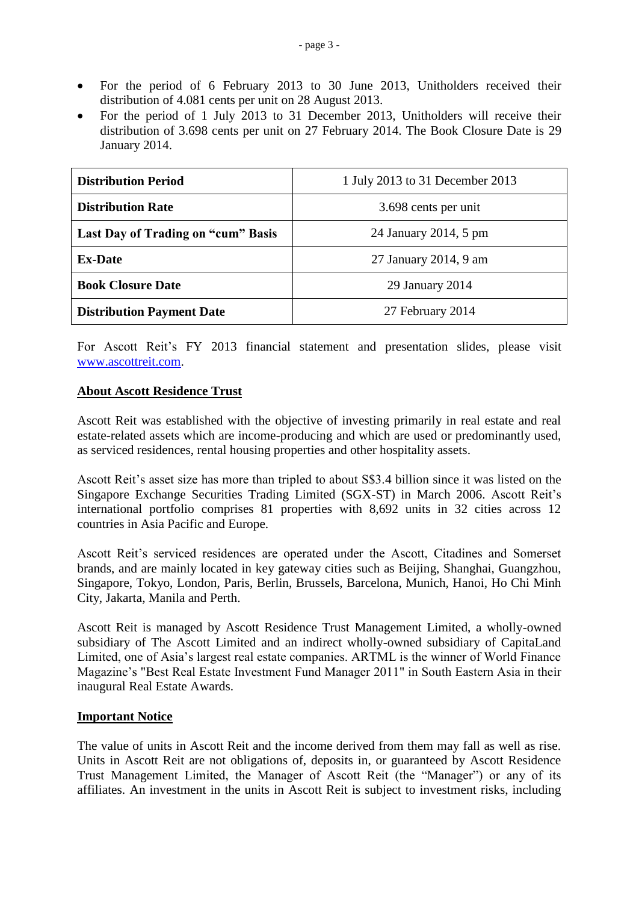- For the period of 6 February 2013 to 30 June 2013, Unitholders received their distribution of 4.081 cents per unit on 28 August 2013.
- For the period of 1 July 2013 to 31 December 2013, Unitholders will receive their distribution of 3.698 cents per unit on 27 February 2014. The Book Closure Date is 29 January 2014.

| <b>Distribution Period</b>         | 1 July 2013 to 31 December 2013 |  |
|------------------------------------|---------------------------------|--|
| <b>Distribution Rate</b>           | 3.698 cents per unit            |  |
| Last Day of Trading on "cum" Basis | 24 January 2014, 5 pm           |  |
| <b>Ex-Date</b>                     | 27 January 2014, 9 am           |  |
| <b>Book Closure Date</b>           | 29 January 2014                 |  |
| <b>Distribution Payment Date</b>   | 27 February 2014                |  |

For Ascott Reit's FY 2013 financial statement and presentation slides, please visit [www.ascottreit.com.](http://www.ascottreit.com/)

## **About Ascott Residence Trust**

Ascott Reit was established with the objective of investing primarily in real estate and real estate-related assets which are income-producing and which are used or predominantly used, as serviced residences, rental housing properties and other hospitality assets.

Ascott Reit's asset size has more than tripled to about S\$3.4 billion since it was listed on the Singapore Exchange Securities Trading Limited (SGX-ST) in March 2006. Ascott Reit's international portfolio comprises 81 properties with 8,692 units in 32 cities across 12 countries in Asia Pacific and Europe.

Ascott Reit's serviced residences are operated under the Ascott, Citadines and Somerset brands, and are mainly located in key gateway cities such as Beijing, Shanghai, Guangzhou, Singapore, Tokyo, London, Paris, Berlin, Brussels, Barcelona, Munich, Hanoi, Ho Chi Minh City, Jakarta, Manila and Perth.

Ascott Reit is managed by Ascott Residence Trust Management Limited, a wholly-owned subsidiary of The Ascott Limited and an indirect wholly-owned subsidiary of CapitaLand Limited, one of Asia's largest real estate companies. ARTML is the winner of World Finance Magazine's "Best Real Estate Investment Fund Manager 2011" in South Eastern Asia in their inaugural Real Estate Awards.

### **Important Notice**

The value of units in Ascott Reit and the income derived from them may fall as well as rise. Units in Ascott Reit are not obligations of, deposits in, or guaranteed by Ascott Residence Trust Management Limited, the Manager of Ascott Reit (the "Manager") or any of its affiliates. An investment in the units in Ascott Reit is subject to investment risks, including